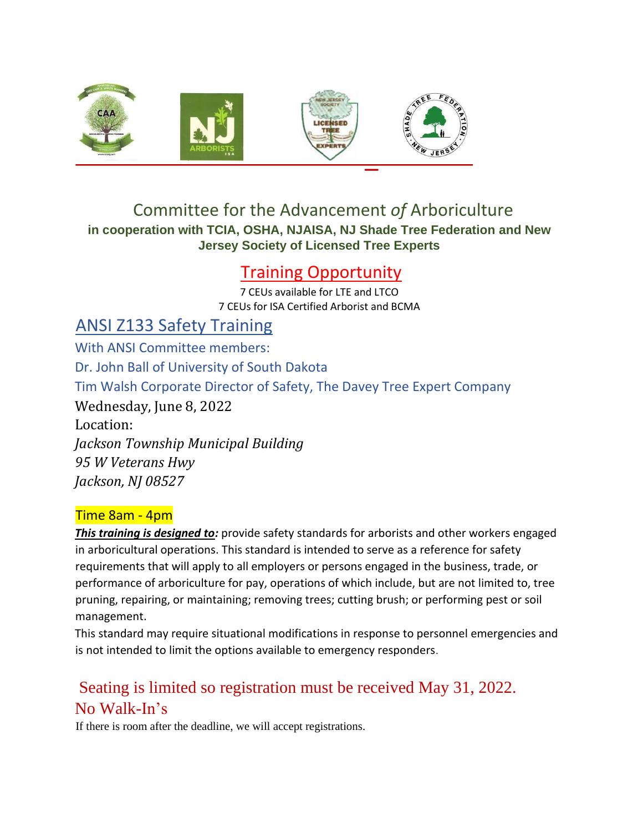

## Committee for the Advancement *of* Arboriculture **in cooperation with TCIA, OSHA, NJAISA, NJ Shade Tree Federation and New Jersey Society of Licensed Tree Experts**

## Training Opportunity

7 CEUs available for LTE and LTCO 7 CEUs for ISA Certified Arborist and BCMA

ANSI Z133 Safety Training With ANSI Committee members: Dr. John Ball of University of South Dakota Tim Walsh Corporate Director of Safety, The Davey Tree Expert Company Wednesday, June 8, 2022 Location: *Jackson Township Municipal Building 95 W Veterans Hwy Jackson, NJ 08527* 

## Time 8am - 4pm

*This training is designed to:* provide safety standards for arborists and other workers engaged in arboricultural operations. This standard is intended to serve as a reference for safety requirements that will apply to all employers or persons engaged in the business, trade, or performance of arboriculture for pay, operations of which include, but are not limited to, tree pruning, repairing, or maintaining; removing trees; cutting brush; or performing pest or soil management.

This standard may require situational modifications in response to personnel emergencies and is not intended to limit the options available to emergency responders.

## Seating is limited so registration must be received May 31, 2022. No Walk-In's

If there is room after the deadline, we will accept registrations.